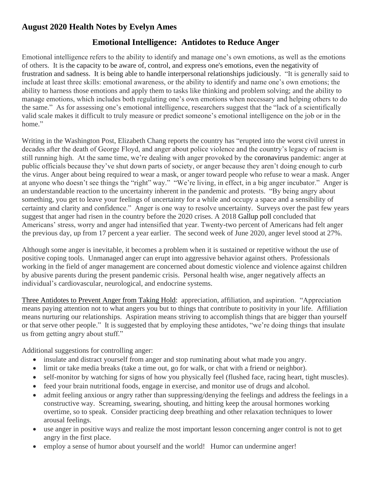## **August 2020 Health Notes by Evelyn Ames**

## **Emotional Intelligence: Antidotes to Reduce Anger**

Emotional intelligence refers to the ability to identify and manage one's own emotions, as well as the emotions of others. It is the capacity to be aware of, control, and express one's emotions, even the negativity of frustration and sadness. It is being able to handle interpersonal relationships judiciously. "It is generally said to include at least three skills: emotional awareness, or the ability to identify and name one's own emotions; the ability to harness those emotions and apply them to tasks like thinking and problem solving; and the ability to manage emotions, which includes both regulating one's own emotions when necessary and helping others to do the same." As for assessing one's emotional intelligence, researchers suggest that the "lack of a scientifically valid scale makes it difficult to truly measure or predict someone's emotional intelligence on the job or in the home."

Writing in the Washington Post, Elizabeth Chang reports the country has "erupted into the worst civil unrest in decades after the death of George Floyd, and anger about police violence and the country's legacy of racism is still running high. At the same time, we're dealing with anger provoked by the [coronavirus](https://www.washingtonpost.com/health/2020/02/28/what-you-need-know-about-coronavirus/?itid=lk_inline_manual_1) pandemic: anger at public officials because they've shut down parts of society, or anger because they aren't doing enough to curb the virus. Anger about being required to wear a mask, or anger toward people who refuse to wear a mask. Anger at anyone who doesn't see things the "right" way." "We're living, in effect, in a big anger incubator." Anger is an understandable reaction to the uncertainty inherent in the pandemic and protests. "By being angry about something, you get to leave your feelings of uncertainty for a while and occupy a space and a sensibility of certainty and clarity and confidence." Anger is one way to resolve uncertainty. Surveys over the past few years suggest that anger had risen in the country before the 2020 crises. A 2018 [Gallup poll](https://news.gallup.com/poll/249098/americans-stress-worry-anger-intensified-2018.aspx) concluded that Americans' stress, worry and anger had intensified that year. Twenty-two percent of Americans had felt anger the previous day, up from 17 percent a year earlier. The second week of June 2020, anger level stood at 27%.

Although some anger is inevitable, it becomes a problem when it is sustained or repetitive without the use of positive coping tools. Unmanaged anger can erupt into aggressive behavior against others. Professionals working in the field of anger management are concerned about domestic violence and violence against children by abusive parents during the present pandemic crisis. Personal health wise, anger negatively affects an individual's cardiovascular, neurological, and endocrine systems.

Three Antidotes to Prevent Anger from Taking Hold: appreciation, affiliation, and aspiration. "Appreciation means paying attention not to what angers you but to things that contribute to positivity in your life. Affiliation means nurturing our relationships. Aspiration means striving to accomplish things that are bigger than yourself or that serve other people." It is suggested that by employing these antidotes, "we're doing things that insulate us from getting angry about stuff."

Additional suggestions for controlling anger:

- insulate and distract yourself from anger and stop ruminating about what made you angry.
- limit or take media breaks (take a time out, go for walk, or chat with a friend or neighbor).
- self-monitor by watching for signs of how you physically feel (flushed face, racing heart, tight muscles).
- feed your brain nutritional foods, engage in exercise, and monitor use of drugs and alcohol.
- admit feeling anxious or angry rather than suppressing/denying the feelings and address the feelings in a constructive way. Screaming, swearing, shouting, and hitting keep the arousal hormones working overtime, so to speak. Consider practicing deep breathing and other relaxation techniques to lower arousal feelings.
- use anger in positive ways and realize the most important lesson concerning anger control is not to get angry in the first place.
- employ a [sense of humor](https://www.psychologytoday.com/us/basics/humor) about yourself and the world! Humor can undermine anger!